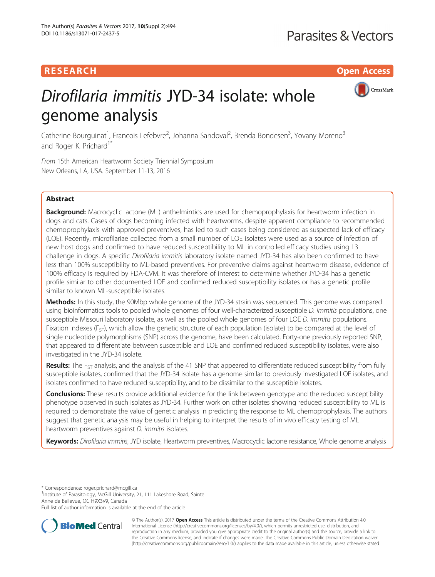## RESEARCH CHEAR CHEAR CHEAR CHEAR CHEAR CHEAR CHEAR CHEAR CHEAR CHEAR CHEAR CHEAR CHEAR CHEAR CHEAR CHEAR CHEAR



# Dirofilaria immitis JYD-34 isolate: whole genome analysis

Catherine Bourguinat<sup>1</sup>, Francois Lefebvre<sup>2</sup>, Johanna Sandoval<sup>2</sup>, Brenda Bondesen<sup>3</sup>, Yovany Moreno<sup>3</sup> and Roger K. Prichard<sup>1\*</sup>

From 15th American Heartworm Society Triennial Symposium New Orleans, LA, USA. September 11-13, 2016

## Abstract

**Background:** Macrocyclic lactone (ML) anthelmintics are used for chemoprophylaxis for heartworm infection in dogs and cats. Cases of dogs becoming infected with heartworms, despite apparent compliance to recommended chemoprophylaxis with approved preventives, has led to such cases being considered as suspected lack of efficacy (LOE). Recently, microfilariae collected from a small number of LOE isolates were used as a source of infection of new host dogs and confirmed to have reduced susceptibility to ML in controlled efficacy studies using L3 challenge in dogs. A specific Dirofilaria immitis laboratory isolate named JYD-34 has also been confirmed to have less than 100% susceptibility to ML-based preventives. For preventive claims against heartworm disease, evidence of 100% efficacy is required by FDA-CVM. It was therefore of interest to determine whether JYD-34 has a genetic profile similar to other documented LOE and confirmed reduced susceptibility isolates or has a genetic profile similar to known ML-susceptible isolates.

Methods: In this study, the 90Mbp whole genome of the JYD-34 strain was sequenced. This genome was compared using bioinformatics tools to pooled whole genomes of four well-characterized susceptible *D. immitis* populations, one susceptible Missouri laboratory isolate, as well as the pooled whole genomes of four LOE D. immitis populations. Fixation indexes ( $F_{ST}$ ), which allow the genetic structure of each population (isolate) to be compared at the level of single nucleotide polymorphisms (SNP) across the genome, have been calculated. Forty-one previously reported SNP, that appeared to differentiate between susceptible and LOE and confirmed reduced susceptibility isolates, were also investigated in the JYD-34 isolate.

**Results:** The  $F_{ST}$  analysis, and the analysis of the 41 SNP that appeared to differentiate reduced susceptibility from fully susceptible isolates, confirmed that the JYD-34 isolate has a genome similar to previously investigated LOE isolates, and isolates confirmed to have reduced susceptibility, and to be dissimilar to the susceptible isolates.

Conclusions: These results provide additional evidence for the link between genotype and the reduced susceptibility phenotype observed in such isolates as JYD-34. Further work on other isolates showing reduced susceptibility to ML is required to demonstrate the value of genetic analysis in predicting the response to ML chemoprophylaxis. The authors suggest that genetic analysis may be useful in helping to interpret the results of in vivo efficacy testing of ML heartworm preventives against D. immitis isolates.

Keywords: Dirofilaria immitis, JYD isolate, Heartworm preventives, Macrocyclic lactone resistance, Whole genome analysis

\* Correspondence: [roger.prichard@mcgill.ca](mailto:roger.prichard@mcgill.ca) <sup>1</sup>

<sup>1</sup>Institute of Parasitology, McGill University, 21, 111 Lakeshore Road, Sainte Anne de Bellevue, QC H9X3V9, Canada

Full list of author information is available at the end of the article



© The Author(s). 2017 **Open Access** This article is distributed under the terms of the Creative Commons Attribution 4.0 International License [\(http://creativecommons.org/licenses/by/4.0/](http://creativecommons.org/licenses/by/4.0/)), which permits unrestricted use, distribution, and reproduction in any medium, provided you give appropriate credit to the original author(s) and the source, provide a link to the Creative Commons license, and indicate if changes were made. The Creative Commons Public Domain Dedication waiver [\(http://creativecommons.org/publicdomain/zero/1.0/](http://creativecommons.org/publicdomain/zero/1.0/)) applies to the data made available in this article, unless otherwise stated.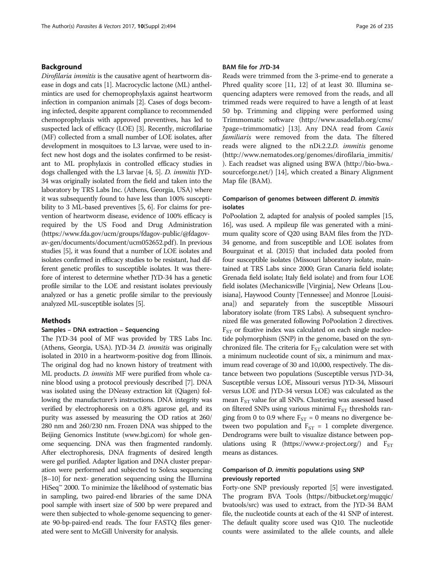## Background

Dirofilaria immitis is the causative agent of heartworm disease in dogs and cats [\[1](#page-5-0)]. Macrocyclic lactone (ML) anthelmintics are used for chemoprophylaxis against heartworm infection in companion animals [[2](#page-5-0)]. Cases of dogs becoming infected, despite apparent compliance to recommended chemoprophylaxis with approved preventives, has led to suspected lack of efficacy (LOE) [[3](#page-5-0)]. Recently, microfilariae (MF) collected from a small number of LOE isolates, after development in mosquitoes to L3 larvae, were used to infect new host dogs and the isolates confirmed to be resistant to ML prophylaxis in controlled efficacy studies in dogs challenged with the L3 larvae [[4](#page-5-0), [5](#page-5-0)]. D. immitis JYD-34 was originally isolated from the field and taken into the laboratory by TRS Labs Inc. (Athens, Georgia, USA) where it was subsequently found to have less than 100% susceptibility to 3 ML-based preventives [\[5, 6\]](#page-5-0). For claims for prevention of heartworm disease, evidence of 100% efficacy is required by the US Food and Drug Administration ([https://www.fda.gov/ucm/groups/fdagov-public/@fdagov](https://www.fda.gov/ucm/groups/fdagov-public/@fdagov-av-gen/documents/document/ucm052652.pdf)[av-gen/documents/document/ucm052652.pdf](https://www.fda.gov/ucm/groups/fdagov-public/@fdagov-av-gen/documents/document/ucm052652.pdf)). In previous studies [\[5](#page-5-0)], it was found that a number of LOE isolates and isolates confirmed in efficacy studies to be resistant, had different genetic profiles to susceptible isolates. It was therefore of interest to determine whether JYD-34 has a genetic profile similar to the LOE and resistant isolates previously analyzed or has a genetic profile similar to the previously analyzed ML-susceptible isolates [[5](#page-5-0)].

#### Methods

## Samples – DNA extraction – Sequencing

The JYD-34 pool of MF was provided by TRS Labs Inc. (Athens, Georgia, USA). JYD-34 D. immitis was originally isolated in 2010 in a heartworm-positive dog from Illinois. The original dog had no known history of treatment with ML products. D. immitis MF were purified from whole canine blood using a protocol previously described [\[7](#page-5-0)]. DNA was isolated using the DNeasy extraction kit (Qiagen) following the manufacturer's instructions. DNA integrity was verified by electrophoresis on a 0.8% agarose gel, and its purity was assessed by measuring the OD ratios at 260/ 280 nm and 260/230 nm. Frozen DNA was shipped to the Beijing Genomics Institute ([www.bgi.com](http://www.bgi.com)) for whole genome sequencing. DNA was then fragmented randomly. After electrophoresis, DNA fragments of desired length were gel purified. Adapter ligation and DNA cluster preparation were performed and subjected to Solexa sequencing [[8](#page-5-0)–[10\]](#page-5-0) for next- generation sequencing using the Illumina HiSeq™ 2000. To minimize the likelihood of systematic bias in sampling, two paired-end libraries of the same DNA pool sample with insert size of 500 bp were prepared and were then subjected to whole-genome sequencing to generate 90-bp-paired-end reads. The four FASTQ files generated were sent to McGill University for analysis.

## BAM file for JYD-34

Reads were trimmed from the 3-prime-end to generate a Phred quality score [\[11, 12\]](#page-5-0) of at least 30. Illumina sequencing adapters were removed from the reads, and all trimmed reads were required to have a length of at least 50 bp. Trimming and clipping were performed using [Trimmomatic](http://www.usadellab.org/cms/index.php?page=trimmomatic) software ([http://www.usadellab.org/cms/](http://www.usadellab.org/cms/?page=trimmomatic) [?page=trimmomatic\)](http://www.usadellab.org/cms/?page=trimmomatic) [[13\]](#page-5-0). Any DNA read from Canis familiaris were removed from the data. The filtered reads were aligned to the nDi.2.2.D. immitis genome ([http://www.nematodes.org/genomes/dirofilaria\\_immitis/](http://www.nematodes.org/genomes/dirofilaria_immitis) ). Each readset was aligned using BWA ([http://bio-bwa.](http://bio-bwa.sourceforge.net) [sourceforge.net](http://bio-bwa.sourceforge.net)/) [\[14](#page-5-0)], which created a Binary Alignment Map file (BAM).

## Comparison of genomes between different D. immitis isolates

PoPoolation 2, adapted for analysis of pooled samples [\[15](#page-5-0), [16](#page-5-0)], was used. A mpileup file was generated with a minimum quality score of Q20 using BAM files from the JYD-34 genome, and from susceptible and LOE isolates from Bourguinat et al. (2015) that included data pooled from four susceptible isolates (Missouri laboratory isolate, maintained at TRS Labs since 2000; Gran Canaria field isolate; Grenada field isolate; Italy field isolate) and from four LOE field isolates (Mechanicsville [Virginia], New Orleans [Louisiana], Haywood County [Tennessee] and Monroe [Louisiana]) and separately from the susceptible Missouri laboratory isolate (from TRS Labs). A subsequent synchronized file was generated following PoPoolation 2 directives.  $F<sub>ST</sub>$  or fixative index was calculated on each single nucleotide polymorphism (SNP) in the genome, based on the synchronized file. The criteria for  $F_{ST}$  calculation were set with a minimum nucleotide count of six, a minimum and maximum read coverage of 30 and 10,000, respectively. The distance between two populations (Susceptible versus JYD-34, Susceptible versus LOE, Missouri versus JYD-34, Missouri versus LOE and JYD-34 versus LOE) was calculated as the mean  $F_{ST}$  value for all SNPs. Clustering was assessed based on filtered SNPs using various minimal  $F_{ST}$  thresholds ranging from 0 to 0.9 where  $F_{ST} = 0$  means no divergence between two population and  $F_{ST} = 1$  complete divergence. Dendrograms were built to visualize distance between pop-ulations using R [\(https://www.r-project.org](https://www.r-project.org)/) and  $F_{ST}$ means as distances.

## Comparison of D. immitis populations using SNP previously reported

Forty-one SNP previously reported [\[5\]](#page-5-0) were investigated. The program BVA Tools ([https://bitbucket.org/mugqic/](https://bitbucket.org/mugqic/bvatools/src) [bvatools/src\)](https://bitbucket.org/mugqic/bvatools/src) was used to extract, from the JYD-34 BAM file, the nucleotide counts at each of the 41 SNP of interest. The default quality score used was Q10. The nucleotide counts were assimilated to the allele counts, and allele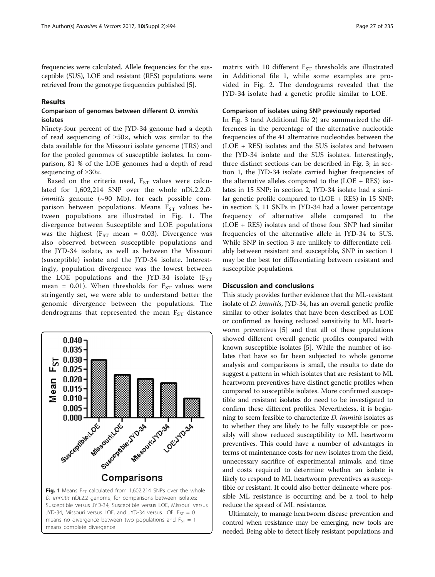frequencies were calculated. Allele frequencies for the susceptible (SUS), LOE and resistant (RES) populations were retrieved from the genotype frequencies published [[5](#page-5-0)].

## Results

## Comparison of genomes between different D. immitis isolates

Ninety-four percent of the JYD-34 genome had a depth of read sequencing of  $\geq 50 \times$ , which was similar to the data available for the Missouri isolate genome (TRS) and for the pooled genomes of susceptible isolates. In comparison, 81 % of the LOE genomes had a depth of read sequencing of  $\geq 30 \times$ .

Based on the criteria used,  $F_{ST}$  values were calculated for 1,602,214 SNP over the whole nDi.2.2.D. immitis genome (~90 Mb), for each possible comparison between populations. Means  $F_{ST}$  values between populations are illustrated in Fig. 1. The divergence between Susceptible and LOE populations was the highest ( $F_{ST}$  mean = 0.03). Divergence was also observed between susceptible populations and the JYD-34 isolate, as well as between the Missouri (susceptible) isolate and the JYD-34 isolate. Interestingly, population divergence was the lowest between the LOE populations and the JYD-34 isolate  $(F_{ST}$ mean = 0.01). When thresholds for  $F_{ST}$  values were stringently set, we were able to understand better the genomic divergence between the populations. The dendrograms that represented the mean  $F_{ST}$  distance



matrix with 10 different  $F_{ST}$  thresholds are illustrated in Additional file [1](#page-4-0), while some examples are provided in Fig. [2.](#page-3-0) The dendograms revealed that the JYD-34 isolate had a genetic profile similar to LOE.

#### Comparison of isolates using SNP previously reported

In Fig. [3](#page-3-0) (and Additional file [2](#page-4-0)) are summarized the differences in the percentage of the alternative nucleotide frequencies of the 41 alternative nucleotides between the (LOE + RES) isolates and the SUS isolates and between the JYD-34 isolate and the SUS isolates. Interestingly, three distinct sections can be described in Fig. [3;](#page-3-0) in section 1, the JYD-34 isolate carried higher frequencies of the alternative alleles compared to the  $(LOE + RES)$  isolates in 15 SNP; in section 2, JYD-34 isolate had a similar genetic profile compared to (LOE + RES) in 15 SNP; in section 3, 11 SNPs in JYD-34 had a lower percentage frequency of alternative allele compared to the (LOE + RES) isolates and of those four SNP had similar frequencies of the alternative allele in JYD-34 to SUS. While SNP in section 3 are unlikely to differentiate reliably between resistant and susceptible, SNP in section 1 may be the best for differentiating between resistant and susceptible populations.

## Discussion and conclusions

This study provides further evidence that the ML-resistant isolate of D. immitis, JYD-34, has an overall genetic profile similar to other isolates that have been described as LOE or confirmed as having reduced sensitivity to ML heartworm preventives [\[5](#page-5-0)] and that all of these populations showed different overall genetic profiles compared with known susceptible isolates [\[5\]](#page-5-0). While the number of isolates that have so far been subjected to whole genome analysis and comparisons is small, the results to date do suggest a pattern in which isolates that are resistant to ML heartworm preventives have distinct genetic profiles when compared to susceptible isolates. More confirmed susceptible and resistant isolates do need to be investigated to confirm these different profiles. Nevertheless, it is beginning to seem feasible to characterize D. immitis isolates as to whether they are likely to be fully susceptible or possibly will show reduced susceptibility to ML heartworm preventives. This could have a number of advantages in terms of maintenance costs for new isolates from the field, unnecessary sacrifice of experimental animals, and time and costs required to determine whether an isolate is likely to respond to ML heartworm preventives as susceptible or resistant. It could also better delineate where possible ML resistance is occurring and be a tool to help reduce the spread of ML resistance.

Ultimately, to manage heartworm disease prevention and control when resistance may be emerging, new tools are needed. Being able to detect likely resistant populations and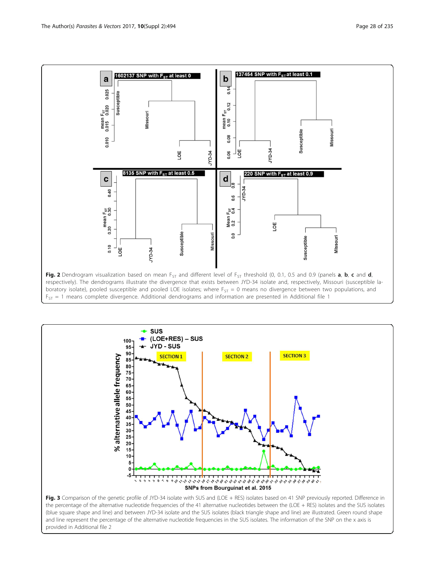<span id="page-3-0"></span>

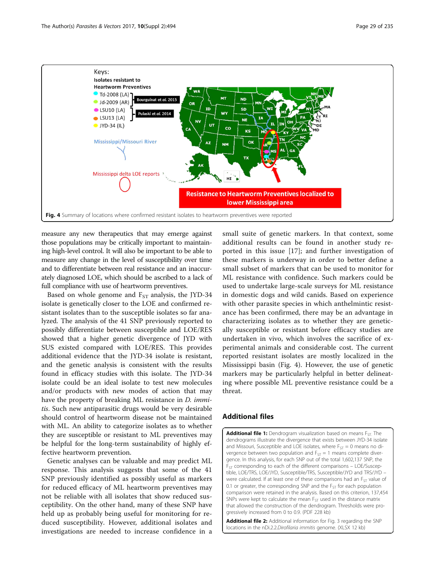<span id="page-4-0"></span>

measure any new therapeutics that may emerge against those populations may be critically important to maintaining high-level control. It will also be important to be able to measure any change in the level of susceptibility over time and to differentiate between real resistance and an inaccurately diagnosed LOE, which should be ascribed to a lack of full compliance with use of heartworm preventives.

Based on whole genome and  $F_{ST}$  analysis, the JYD-34 isolate is genetically closer to the LOE and confirmed resistant isolates than to the susceptible isolates so far analyzed. The analysis of the 41 SNP previously reported to possibly differentiate between susceptible and LOE/RES showed that a higher genetic divergence of JYD with SUS existed compared with LOE/RES. This provides additional evidence that the JYD-34 isolate is resistant, and the genetic analysis is consistent with the results found in efficacy studies with this isolate. The JYD-34 isolate could be an ideal isolate to test new molecules and/or products with new modes of action that may have the property of breaking ML resistance in *D. immi*tis. Such new antiparasitic drugs would be very desirable should control of heartworm disease not be maintained with ML. An ability to categorize isolates as to whether they are susceptible or resistant to ML preventives may be helpful for the long-term sustainability of highly effective heartworm prevention.

Genetic analyses can be valuable and may predict ML response. This analysis suggests that some of the 41 SNP previously identified as possibly useful as markers for reduced efficacy of ML heartworm preventives may not be reliable with all isolates that show reduced susceptibility. On the other hand, many of these SNP have held up as probably being useful for monitoring for reduced susceptibility. However, additional isolates and investigations are needed to increase confidence in a

small suite of genetic markers. In that context, some additional results can be found in another study reported in this issue [\[17](#page-5-0)]; and further investigation of these markers is underway in order to better define a small subset of markers that can be used to monitor for ML resistance with confidence. Such markers could be used to undertake large-scale surveys for ML resistance in domestic dogs and wild canids. Based on experience with other parasite species in which anthelmintic resistance has been confirmed, there may be an advantage in characterizing isolates as to whether they are genetically susceptible or resistant before efficacy studies are undertaken in vivo, which involves the sacrifice of experimental animals and considerable cost. The current reported resistant isolates are mostly localized in the Mississippi basin (Fig. 4). However, the use of genetic markers may be particularly helpful in better delineating where possible ML preventive resistance could be a threat.

## Additional files

[Additional file 1:](dx.doi.org/10.1186/s13071-017-2437-5) Dendrogram visualization based on means F<sub>ST.</sub> The dendrograms illustrate the divergence that exists between JYD-34 isolate and Missouri, Susceptible and LOE isolates, where  $F_{ST} = 0$  means no divergence between two population and  $F_{ST} = 1$  means complete divergence. In this analysis, for each SNP out of the total 1,602,137 SNP, the  $F_{ST}$  corresponding to each of the different comparisons  $-$  LOE/Susceptible, LOE/TRS, LOE/JYD, Susceptible/TRS, Susceptible/JYD and TRS/JYD – were calculated. If at least one of these comparisons had an  $F<sub>ST</sub>$  value of 0.1 or greater, the corresponding SNP and the  $F_{ST}$  for each population comparison were retained in the analysis. Based on this criterion, 137,454 SNPs were kept to calculate the mean  $F_{ST}$  used in the distance matrix that allowed the construction of the dendrogram. Thresholds were progressively increased from 0 to 0.9. (PDF 228 kb)

[Additional file 2:](dx.doi.org/10.1186/s13071-017-2437-5) Additional information for Fig. [3](#page-3-0) regarding the SNP locations in the nDi.2.2.Dirofilaria immitis genome. (XLSX 12 kb)